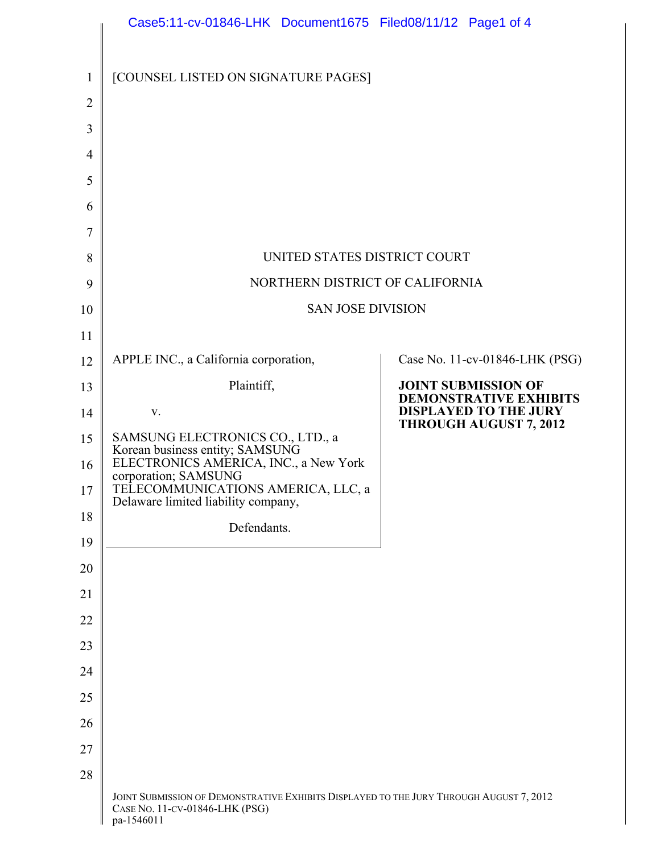|                | Case5:11-cv-01846-LHK Document1675 Filed08/11/12 Page1 of 4                                                                             |                                                               |  |  |  |
|----------------|-----------------------------------------------------------------------------------------------------------------------------------------|---------------------------------------------------------------|--|--|--|
| $\mathbf{1}$   | [COUNSEL LISTED ON SIGNATURE PAGES]                                                                                                     |                                                               |  |  |  |
| $\overline{2}$ |                                                                                                                                         |                                                               |  |  |  |
| 3              |                                                                                                                                         |                                                               |  |  |  |
| 4              |                                                                                                                                         |                                                               |  |  |  |
| 5              |                                                                                                                                         |                                                               |  |  |  |
| 6              |                                                                                                                                         |                                                               |  |  |  |
| 7              |                                                                                                                                         |                                                               |  |  |  |
| 8              | UNITED STATES DISTRICT COURT                                                                                                            |                                                               |  |  |  |
| 9              | NORTHERN DISTRICT OF CALIFORNIA                                                                                                         |                                                               |  |  |  |
| 10             | <b>SAN JOSE DIVISION</b>                                                                                                                |                                                               |  |  |  |
| 11             |                                                                                                                                         |                                                               |  |  |  |
| 12             | APPLE INC., a California corporation,                                                                                                   | Case No. 11-cv-01846-LHK (PSG)                                |  |  |  |
| 13             | Plaintiff,                                                                                                                              | <b>JOINT SUBMISSION OF</b><br><b>DEMONSTRATIVE EXHIBITS</b>   |  |  |  |
| 14             | V.                                                                                                                                      | <b>DISPLAYED TO THE JURY</b><br><b>THROUGH AUGUST 7, 2012</b> |  |  |  |
| 15             | SAMSUNG ELECTRONICS CO., LTD., a<br>Korean business entity; SAMSUNG                                                                     |                                                               |  |  |  |
| 16             | ELECTRONICS AMERICA, INC., a New York<br>corporation; SAMSUNG                                                                           |                                                               |  |  |  |
| 17             | TELECOMMUNICATIONS AMERICA, LLC, a<br>Delaware limited liability company,                                                               |                                                               |  |  |  |
| 18             | Defendants.                                                                                                                             |                                                               |  |  |  |
| 19             |                                                                                                                                         |                                                               |  |  |  |
| 20             |                                                                                                                                         |                                                               |  |  |  |
| 21             |                                                                                                                                         |                                                               |  |  |  |
| 22             |                                                                                                                                         |                                                               |  |  |  |
| 23<br>24       |                                                                                                                                         |                                                               |  |  |  |
| 25             |                                                                                                                                         |                                                               |  |  |  |
| 26             |                                                                                                                                         |                                                               |  |  |  |
| 27             |                                                                                                                                         |                                                               |  |  |  |
| 28             |                                                                                                                                         |                                                               |  |  |  |
|                | JOINT SUBMISSION OF DEMONSTRATIVE EXHIBITS DISPLAYED TO THE JURY THROUGH AUGUST 7, 2012<br>CASE NO. 11-CV-01846-LHK (PSG)<br>pa-1546011 |                                                               |  |  |  |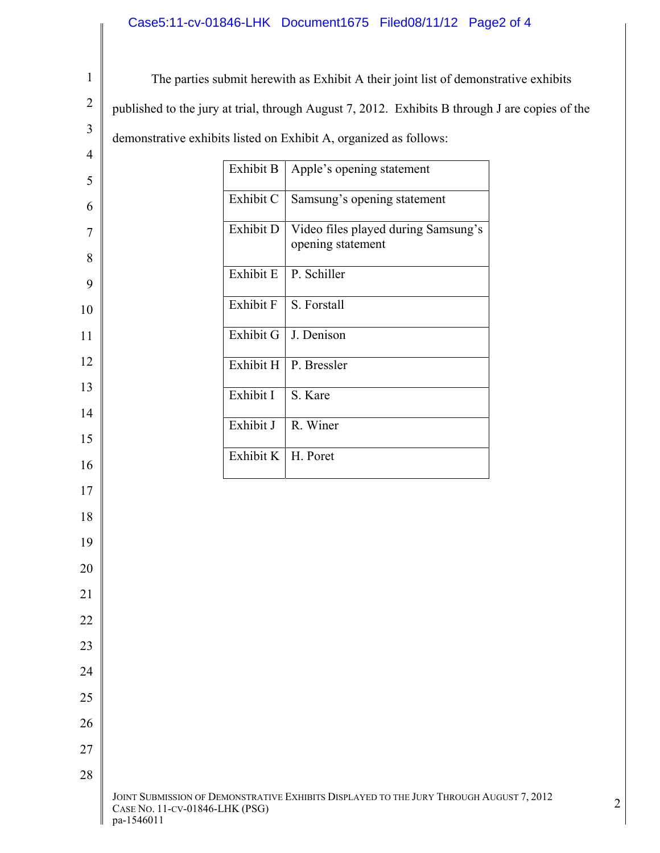## Case5:11-cv-01846-LHK Document1675 Filed08/11/12 Page2 of 4

| $\mathbf{1}$   | The parties submit herewith as Exhibit A their joint list of demonstrative exhibits            |           |                                                                                         |  |                |
|----------------|------------------------------------------------------------------------------------------------|-----------|-----------------------------------------------------------------------------------------|--|----------------|
| $\overline{2}$ | published to the jury at trial, through August 7, 2012. Exhibits B through J are copies of the |           |                                                                                         |  |                |
| 3              | demonstrative exhibits listed on Exhibit A, organized as follows:                              |           |                                                                                         |  |                |
| $\overline{4}$ | Exhibit B<br>Apple's opening statement                                                         |           |                                                                                         |  |                |
| 5              |                                                                                                |           |                                                                                         |  |                |
| 6              |                                                                                                | Exhibit C | Samsung's opening statement                                                             |  |                |
| $\overline{7}$ |                                                                                                | Exhibit D | Video files played during Samsung's<br>opening statement                                |  |                |
| 8              |                                                                                                |           |                                                                                         |  |                |
| 9              |                                                                                                | Exhibit E | P. Schiller                                                                             |  |                |
| 10             |                                                                                                | Exhibit F | S. Forstall                                                                             |  |                |
| 11             |                                                                                                | Exhibit G | J. Denison                                                                              |  |                |
| 12             |                                                                                                | Exhibit H | P. Bressler                                                                             |  |                |
| 13             |                                                                                                | Exhibit I | S. Kare                                                                                 |  |                |
| 14             |                                                                                                |           |                                                                                         |  |                |
| 15             |                                                                                                | Exhibit J | R. Winer                                                                                |  |                |
| 16             |                                                                                                | Exhibit K | H. Poret                                                                                |  |                |
| 17             |                                                                                                |           |                                                                                         |  |                |
| 18             |                                                                                                |           |                                                                                         |  |                |
| 19             |                                                                                                |           |                                                                                         |  |                |
| 20             |                                                                                                |           |                                                                                         |  |                |
| 21             |                                                                                                |           |                                                                                         |  |                |
| 22             |                                                                                                |           |                                                                                         |  |                |
| 23             |                                                                                                |           |                                                                                         |  |                |
| 24             |                                                                                                |           |                                                                                         |  |                |
| 25             |                                                                                                |           |                                                                                         |  |                |
| 26             |                                                                                                |           |                                                                                         |  |                |
| 27             |                                                                                                |           |                                                                                         |  |                |
| 28             |                                                                                                |           |                                                                                         |  |                |
|                | CASE NO. 11-CV-01846-LHK (PSG)<br>pa-1546011                                                   |           | JOINT SUBMISSION OF DEMONSTRATIVE EXHIBITS DISPLAYED TO THE JURY THROUGH AUGUST 7, 2012 |  | $\overline{2}$ |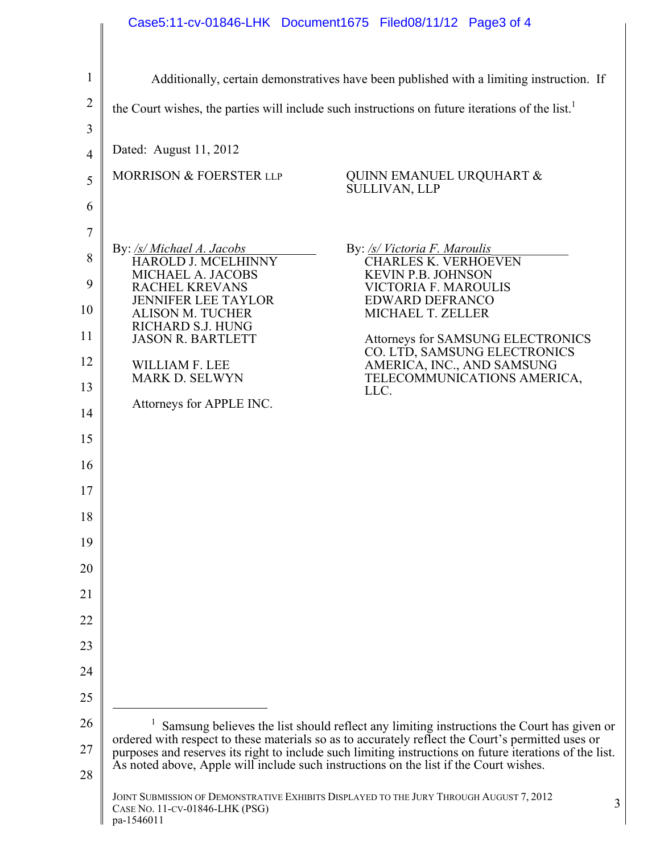## Case5:11-cv-01846-LHK Document1675 Filed08/11/12 Page3 of 4

| 1                                                                                                       | Additionally, certain demonstratives have been published with a limiting instruction. If                                                                                                                                                                                                                                                                                                                                                                                                                                                                                                                                                                                                                     |  |  |  |  |
|---------------------------------------------------------------------------------------------------------|--------------------------------------------------------------------------------------------------------------------------------------------------------------------------------------------------------------------------------------------------------------------------------------------------------------------------------------------------------------------------------------------------------------------------------------------------------------------------------------------------------------------------------------------------------------------------------------------------------------------------------------------------------------------------------------------------------------|--|--|--|--|
| $\overline{c}$                                                                                          | the Court wishes, the parties will include such instructions on future iterations of the list. <sup>1</sup>                                                                                                                                                                                                                                                                                                                                                                                                                                                                                                                                                                                                  |  |  |  |  |
| 3<br>4<br>5<br>6<br>7<br>8<br>9<br>10<br>11<br>12<br>13<br>14<br>15<br>16<br>17<br>18<br>19<br>20<br>21 | Dated: August 11, 2012<br>MORRISON & FOERSTER LLP<br>QUINN EMANUEL URQUHART &<br><b>SULLIVAN, LLP</b><br>By: /s/ Michael A. Jacobs<br>By: /s/ Victoria F. Maroulis<br><b>HAROLD J. MCELHINNY</b><br><b>CHARLES K. VERHOEVEN</b><br>MICHAEL A. JACOBS<br><b>KEVIN P.B. JOHNSON</b><br><b>RACHEL KREVANS</b><br><b>VICTORIA F. MAROULIS</b><br><b>EDWARD DEFRANCO</b><br><b>JENNIFER LEE TAYLOR</b><br>MICHAEL T. ZELLER<br><b>ALISON M. TUCHER</b><br>RICHARD S.J. HUNG<br><b>JASON R. BARTLETT</b><br>Attorneys for SAMSUNG ELECTRONICS<br>CO. LTD, SAMSUNG ELECTRONICS<br>AMERICA, INC., AND SAMSUNG<br>WILLIAM F. LEE<br>MARK D. SELWYN<br>TELECOMMUNICATIONS AMERICA,<br>LLC.<br>Attorneys for APPLE INC. |  |  |  |  |
| 22                                                                                                      |                                                                                                                                                                                                                                                                                                                                                                                                                                                                                                                                                                                                                                                                                                              |  |  |  |  |
| 23                                                                                                      |                                                                                                                                                                                                                                                                                                                                                                                                                                                                                                                                                                                                                                                                                                              |  |  |  |  |
| 24                                                                                                      |                                                                                                                                                                                                                                                                                                                                                                                                                                                                                                                                                                                                                                                                                                              |  |  |  |  |
| 25<br>26                                                                                                |                                                                                                                                                                                                                                                                                                                                                                                                                                                                                                                                                                                                                                                                                                              |  |  |  |  |
| 27<br>28                                                                                                | Samsung believes the list should reflect any limiting instructions the Court has given or<br>ordered with respect to these materials so as to accurately reflect the Court's permitted uses or<br>purposes and reserves its right to include such limiting instructions on future iterations of the list.<br>As noted above, Apple will include such instructions on the list if the Court wishes.                                                                                                                                                                                                                                                                                                           |  |  |  |  |
|                                                                                                         | JOINT SUBMISSION OF DEMONSTRATIVE EXHIBITS DISPLAYED TO THE JURY THROUGH AUGUST 7, 2012<br>3<br>CASE NO. 11-CV-01846-LHK (PSG)<br>pa-1546011                                                                                                                                                                                                                                                                                                                                                                                                                                                                                                                                                                 |  |  |  |  |